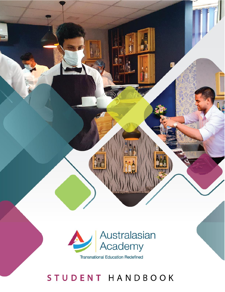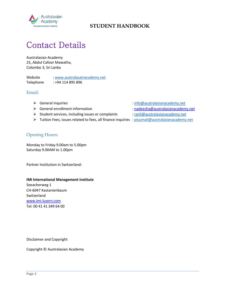

# Contact Details

Australasian Academy 25, Abdul Cafoor Mawatha, Colombo 3, Sri Lanka

Website : [www.australasainacademy.net](http://www.australasainacademy.net/) Telephone : +94 114 895 896

Email:

- 
- ⮚ General enrollment information [: nadeesha@australasianacademy.net](mailto:nadeesha@australasianacademy.net)
- ▶ Student services, including issues or complaints [: ranli@australasianacademy.net](mailto:ranli@australasianacademy.net)
- ▶ Tuition Fees, issues related to fees, all finance inquiries [: piyumali@australasianacademy.net](mailto:piyumali@australasianacademy.net)
- ⮚ General inquiries [: info@australasianacademy.net](mailto:info@australasianacademy.net)
	-
	-
	-

### Opening Hours:

Monday to Friday 9.00am to 5.00pm Saturday 9.00AM to 1.00pm

Partner Institution in Switzerland:

#### **IMI International Management Institute**

Seeacherweg 1 CH-6047 Kastanienbaum Switzerland [www.imi-luzern.com](http://www.imi-luzern.com/) Tel: 00 41 41 349 64 00

Disclaimer and Copyright

Copyright © Australasian Academy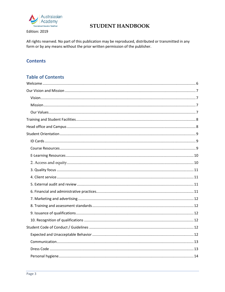

Edition: 2019

# **STUDENT HANDBOOK**

All rights reserved. No part of this publication may be reproduced, distributed or transmitted in any form or by any means without the prior written permission of the publisher.

# **Contents**

## **Table of Contents**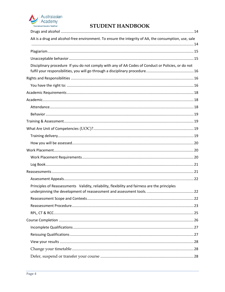

| AA is a drug and alcohol-free environment. To ensure the integrity of AA, the consumption, use, sale |  |
|------------------------------------------------------------------------------------------------------|--|
|                                                                                                      |  |
|                                                                                                      |  |
|                                                                                                      |  |
| Disciplinary procedure If you do not comply with any of AA Codes of Conduct or Policies, or do not   |  |
|                                                                                                      |  |
|                                                                                                      |  |
|                                                                                                      |  |
|                                                                                                      |  |
|                                                                                                      |  |
|                                                                                                      |  |
|                                                                                                      |  |
|                                                                                                      |  |
|                                                                                                      |  |
|                                                                                                      |  |
|                                                                                                      |  |
|                                                                                                      |  |
|                                                                                                      |  |
|                                                                                                      |  |
|                                                                                                      |  |
| Principles of Reassessments Validity, reliability, flexibility and fairness are the principles       |  |
|                                                                                                      |  |
|                                                                                                      |  |
|                                                                                                      |  |
|                                                                                                      |  |
|                                                                                                      |  |
|                                                                                                      |  |
|                                                                                                      |  |
|                                                                                                      |  |
|                                                                                                      |  |
|                                                                                                      |  |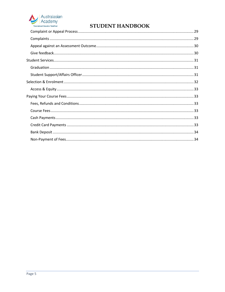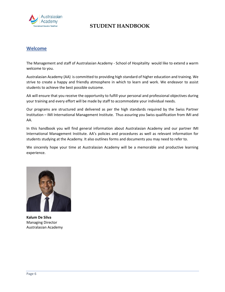

### <span id="page-5-0"></span>**Welcome**

The Management and staff of Australasian Academy - School of Hospitality would like to extend a warm welcome to you.

Australasian Academy (AA) is committed to providing high standard of higher education and training. We strive to create a happy and friendly atmosphere in which to learn and work. We endeavor to assist students to achieve the best possible outcome.

AA will ensure that you receive the opportunity to fulfill your personal and professional objectives during your training and every effort will be made by staff to accommodate your individual needs.

Our programs are structured and delivered as per the high standards required by the Swiss Partner Institution – IMI International Management Institute. Thus assuring you Swiss qualification from IMI and AA.

In this handbook you will find general information about Australasian Academy and our partner IMI International Management Institute. AA's policies and procedures as well as relevant information for students studying at the Academy. It also outlines forms and documents you may need to refer to.

We sincerely hope your time at Australasian Academy will be a memorable and productive learning experience.



**Kalum De Silva** Managing Director Australasian Academy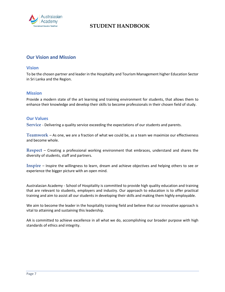

### <span id="page-6-0"></span>**Our Vision and Mission**

#### <span id="page-6-1"></span>**Vision**

To be the chosen partner and leader in the Hospitality and Tourism Management higher Education Sector in Sri Lanka and the Region.

#### <span id="page-6-2"></span>**Mission**

Provide a modern state of the art learning and training environment for students, that allows them to enhance their knowledge and develop their skills to become professionals in their chosen field of study.

#### <span id="page-6-3"></span>**Our Values**

**Service** - Delivering a quality service exceeding the expectations of our students and parents.

**Teamwork** – As one, we are a fraction of what we could be, as a team we maximize our effectiveness and become whole.

**Respect** – Creating a professional working environment that embraces, understand and shares the diversity of students, staff and partners.

**Inspire** – Inspire the willingness to learn, dream and achieve objectives and helping others to see or experience the bigger picture with an open mind.

Australasian Academy - School of Hospitality is committed to provide high quality education and training that are relevant to students, employers and industry. Our approach to education is to offer practical training and aim to assist all our students in developing their skills and making them highly employable.

We aim to become the leader in the hospitality training field and believe that our innovative approach is vital to attaining and sustaining this leadership.

AA is committed to achieve excellence in all what we do, accomplishing our broader purpose with high standards of ethics and integrity.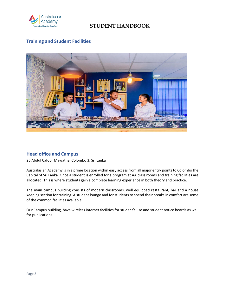

# <span id="page-7-0"></span>**Training and Student Facilities**



### <span id="page-7-1"></span>**Head office and Campus**

25 Abdul Cafoor Mawatha, Colombo 3, Sri Lanka

Australasian Academy is in a prime location within easy access from all major entry points to Colombo the Capital of Sri Lanka. Once a student is enrolled for a program at AA class rooms and training facilities are allocated. This is where students gain a complete learning experience in both theory and practice.

The main campus building consists of modern classrooms, well equipped restaurant, bar and a house keeping section for training. A student lounge and for students to spend their breaks in comfort are some of the common facilities available.

Our Campus building, have wireless internet facilities for student's use and student notice boards as well for publications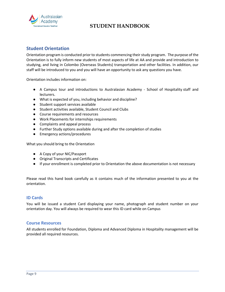

### <span id="page-8-0"></span>**Student Orientation**

Orientation program is conducted prior to students commencing their study program. The purpose of the Orientation is to fully inform new students of most aspects of life at AA and provide and introduction to studying, and living in Colombo (Overseas Students) transportation and other facilities. In addition, our staff will be introduced to you and you will have an opportunity to ask any questions you have.

Orientation includes information on:

- A Campus tour and introductions to Australasian Academy School of Hospitality staff and lecturers.
- What is expected of you, including behavior and discipline?
- Student support services available
- Student activities available, Student Council and Clubs
- Course requirements and resources
- Work Placements for internships requirements
- Complaints and appeal process
- Further Study options available during and after the completion of studies
- Emergency actions/procedures

What you should bring to the Orientation

- A Copy of your NIC/Passport
- Original Transcripts and Certificates
- If your enrollment is completed prior to Orientation the above documentation is not necessary

Please read this hand book carefully as it contains much of the information presented to you at the orientation.

### <span id="page-8-1"></span>**ID Cards**

You will be issued a student Card displaying your name, photograph and student number on your orientation day. You will always be required to wear this ID card while on Campus

### <span id="page-8-2"></span>**Course Resources**

All students enrolled for Foundation, Diploma and Advanced Diploma in Hospitality management will be provided all required resources.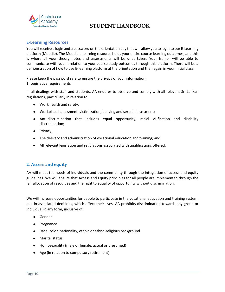

### <span id="page-9-0"></span>**E-Learning Resources**

You will receive a login and a password on the orientation day that will allow you to login to our E-Learning platform (Moodle). The Moodle e-learning resource holds your entire course learning outcomes, and this is where all your theory notes and assessments will be undertaken. Your trainer will be able to communicate with you in relation to your course study outcomes through this platform. There will be a demonstration of how to use E-learning platform at the orientation and then again in your initial class.

Please keep the password safe to ensure the privacy of your information. 1. Legislative requirements

In all dealings with staff and students, AA endures to observe and comply with all relevant Sri Lankan regulations, particularly in relation to:

- Work health and safety;
- Workplace harassment, victimization, bullying and sexual harassment;
- Anti-discrimination that includes equal opportunity, racial vilification and disability discrimination;
- Privacy;
- The delivery and administration of vocational education and training; and
- All relevant legislation and regulations associated with qualifications offered.

### <span id="page-9-1"></span>**2. Access and equity**

AA will meet the needs of individuals and the community through the integration of access and equity guidelines. We will ensure that Access and Equity principles for all people are implemented through the fair allocation of resources and the right to equality of opportunity without discrimination.

We will increase opportunities for people to participate in the vocational education and training system, and in associated decisions, which affect their lives. AA prohibits discrimination towards any group or individual in any form, inclusive of:

- Gender
- Pregnancy
- Race, color, nationality, ethnic or ethno-religious background
- Marital status
- Homosexuality (male or female, actual or presumed)
- Age (in relation to compulsory retirement)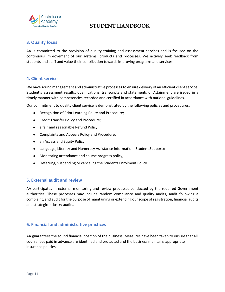

### <span id="page-10-0"></span>**3. Quality focus**

AA is committed to the provision of quality training and assessment services and is focused on the continuous improvement of our systems, products and processes. We actively seek feedback from students and staff and value their contribution towards improving programs and services.

### <span id="page-10-1"></span>**4. Client service**

We have sound management and administrative processes to ensure delivery of an efficient client service. Student's assessment results, qualifications, transcripts and statements of Attainment are issued in a timely manner with competencies recorded and certified in accordance with national guidelines.

Our commitment to quality client service is demonstrated by the following policies and procedures:

- Recognition of Prior Learning Policy and Procedure;
- Credit Transfer Policy and Procedure;
- a fair and reasonable Refund Policy;
- Complaints and Appeals Policy and Procedure;
- an Access and Equity Policy;
- Language, Literacy and Numeracy Assistance Information (Student Support);
- Monitoring attendance and course progress policy;
- Deferring, suspending or canceling the Students Enrolment Policy.

### <span id="page-10-2"></span>**5. External audit and review**

AA participates in external monitoring and review processes conducted by the required Government authorities. These processes may include random compliance and quality audits, audit following a complaint, and audit for the purpose of maintaining or extending our scope of registration, financial audits and strategic industry audits.

### <span id="page-10-3"></span>**6. Financial and administrative practices**

AA guarantees the sound financial position of the business. Measures have been taken to ensure that all course fees paid in advance are identified and protected and the business maintains appropriate insurance policies.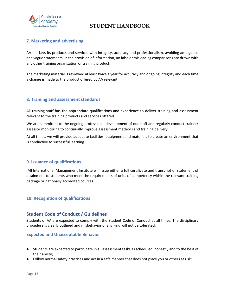

### <span id="page-11-0"></span>**7. Marketing and advertising**

AA markets its products and services with integrity, accuracy and professionalism, avoiding ambiguous and vague statements. In the provision of information, no false or misleading comparisons are drawn with any other training organization or training product.

The marketing material is reviewed at least twice a year for accuracy and ongoing integrity and each time a change is made to the product offered by AA relevant.

### <span id="page-11-1"></span>**8. Training and assessment standards**

All training staff has the appropriate qualifications and experience to deliver training and assessment relevant to the training products and services offered.

We are committed to the ongoing professional development of our staff and regularly conduct trainer/ assessor monitoring to continually improve assessment methods and training delivery.

At all times, we will provide adequate facilities, equipment and materials to create an environment that is conductive to successful learning.

### <span id="page-11-2"></span>**9. Issuance of qualifications**

IMI International Management Institute will issue either a full certificate and transcript or statement of attainment to students who meet the requirements of units of competency within the relevant training package or nationally accredited courses.

### <span id="page-11-4"></span><span id="page-11-3"></span>**10. Recognition of qualifications**

### **Student Code of Conduct / Guidelines**

Students of AA are expected to comply with the Student Code of Conduct at all times. The disciplinary procedure is clearly outlined and misbehavior of any kind will not be tolerated.

### <span id="page-11-5"></span>**Expected and Unacceptable Behavior**

- Students are expected to participate in all assessment tasks as scheduled, honestly and to the best of their ability;
- Follow normal safety practices and act in a safe manner that does not place you or others at risk;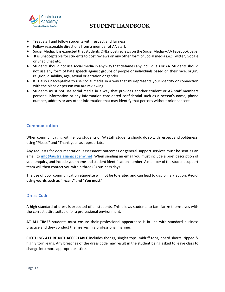

- Treat staff and fellow students with respect and fairness;
- Follow reasonable directions from a member of AA staff.
- Social Media: It is expected that students ONLY post reviews on the Social Media AA Facebook page.
- It is unacceptable for students to post reviews on any other form of Social media i.e.: Twitter, Google or Snap Chat etc.
- Students should not use social media in any way that defames any individuals or AA. Students should not use any form of hate speech against groups of people or individuals based on their race, origin, religion, disability, age, sexual orientation or gender.
- It is also unacceptable to use social media in a way that misrepresents your identity or connection with the place or person you are reviewing
- Students must not use social media in a way that provides another student or AA staff members personal information or any information considered confidential such as a person's name, phone number, address or any other information that may identify that persons without prior consent.

### <span id="page-12-0"></span>**Communication**

When communicating with fellow students or AA staff, students should do so with respect and politeness, using "Please" and "Thank you" as appropriate.

Any requests for documentation, assessment outcomes or general support services must be sent as an email to [info@australasianacademy.net](about:blank) When sending an email you must include a brief description of your enquiry, and include your name and student identification number. A member of the student support team will then contact you within three (3) business days.

The use of poor communication etiquette will not be tolerated and can lead to disciplinary action. **Avoid using words such as "I want" and "You must"**

### <span id="page-12-1"></span>**Dress Code**

A high standard of dress is expected of all students. This allows students to familiarize themselves with the correct attire suitable for a professional environment.

**AT ALL TIMES** students must ensure their professional appearance is in line with standard business practice and they conduct themselves in a professional manner.

**CLOTHING ATTIRE NOT ACCEPTABLE** includes thongs, singlet tops, midriff tops, board shorts, ripped & highly torn jeans. Any breaches of the dress code may result in the student being asked to leave class to change into more appropriate attire.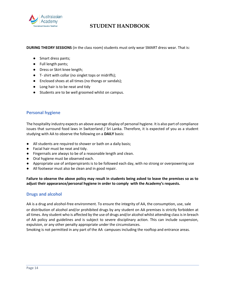

#### **DURING THEORY SESSIONS** (in the class room) students must only wear SMART dress wear. That is:

- Smart dress pants;
- Full length pants;
- Dress or Skirt knee length;
- T- shirt with collar (no singlet tops or midriffs);
- Enclosed shoes at all times (no thongs or sandals);
- Long hair is to be neat and tidy
- Students are to be well groomed whilst on campus.

### <span id="page-13-0"></span>**Personal hygiene**

The hospitality industry expects an above average display of personal hygiene. It is also part of compliance issues that surround food laws in Switzerland / Sri Lanka. Therefore, it is expected of you as a student studying with AA to observe the following on a **DAILY** basis:

- All students are required to shower or bath on a daily basis;
- Facial hair must be neat and tidy.
- Fingernails are always to be of a reasonable length and clean.
- Oral hygiene must be observed each.
- Appropriate use of antiperspirants is to be followed each day, with no strong or overpowering use
- All footwear must also be clean and in good repair.

**Failure to observe the above policy may result in students being asked to leave the premises so as to adjust their appearance/personal hygiene in order to comply with the Academy's requests.**

### <span id="page-13-1"></span>**Drugs and alcohol**

<span id="page-13-2"></span>AA is a drug and alcohol-free environment. To ensure the integrity of AA, the consumption, use, sale or distribution of alcohol and/or prohibited drugs by any student on AA premises is strictly forbidden at all times. Any student who is affected by the use of drugs and/or alcohol whilst attending class is in breach of AA policy and guidelines and is subject to severe disciplinary action. This can include suspension, expulsion, or any other penalty appropriate under the circumstances.

Smoking is not permitted in any part of the AA campuses including the rooftop and entrance areas.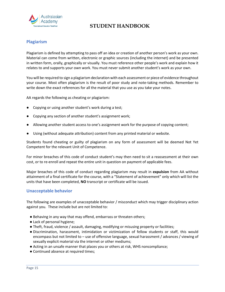

### <span id="page-14-0"></span>**Plagiarism**

Plagiarism is defined by attempting to pass off an idea or creation of another person's work as your own. Material can come from written, electronic or graphic sources (including the internet) and be presented in written form, orally, graphically or visually. You must reference other people's work and explain how it relates to and supports your own work. You must never submit another student's work as your own.

You will be required to sign a plagiarism declaration with each assessment or piece of evidence throughout your course. Most often plagiarism is the result of poor study and note-taking methods. Remember to write down the exact references for all the material that you use as you take your notes.

AA regards the following as cheating or plagiarism:

- Copying or using another student's work during a test;
- Copying any section of another student's assignment work;
- Allowing another student access to one's assignment work for the purpose of copying content;
- Using (without adequate attribution) content from any printed material or website.

Students found cheating or guilty of plagiarism on any form of assessment will be deemed Not Yet Competent for the relevant Unit of Competence.

For minor breaches of this code of conduct student's may then need to sit a reassessment at their own cost, or to re-enroll and repeat the entire unit in question on payment of applicable fees.

Major breaches of this code of conduct regarding plagiarism may result in **expulsion** from AA without attainment of a final certificate for the course, with a "Statement of achievement" only which will list the units that have been completed, **NO** transcript or certificate will be issued.

#### <span id="page-14-1"></span>**Unacceptable behavior**

The following are examples of unacceptable behavior / misconduct which may trigger disciplinary action against you. These include but are not limited to:

- Behaving in any way that may offend, embarrass or threaten others;
- Lack of personal hygiene;
- Theft, fraud, violence / assault, damaging, modifying or misusing property or facilities;
- Discrimination, harassment, intimidation or victimization of fellow students or staff, this would encompass but not limited to – use of offensive language, sexual harassment / advances / viewing of sexually explicit material via the internet or other mediums;
- Acting in an unsafe manner that places you or others at risk, WHS noncompliance;
- Continued absence at required times;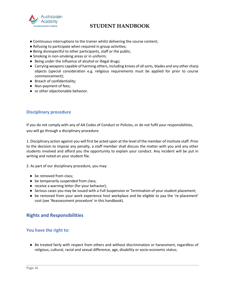

- Continuous interruptions to the trainer whilst delivering the course content;
- Refusing to participate when required in group activities;
- Being disrespectful to other participants, staff or the public;
- Smoking in non-smoking areas or in uniform;
- Being under the influence of alcohol or illegal drugs;
- Carrying weapons capable of harming others, including knives of all sorts, blades and any other sharp objects (special consideration e.g. religious requirements must be applied for prior to course commencement);
- Breach of confidentiality;
- Non-payment of fees;
- or other objectionable behavior.

### <span id="page-15-0"></span>**Disciplinary procedure**

If you do not comply with any of AA Codes of Conduct or Policies, or do not fulfil your responsibilities, you will go through a disciplinary procedure.

1. Disciplinary action against you will first be acted upon at the level of the member of Institute staff. Prior to the decision to impose any penalty, a staff member shall discuss the matter with you and any other students involved and afford you the opportunity to explain your conduct. Any incident will be put in writing and noted on your student file.

2. As part of our disciplinary procedure, you may:

- be removed from class;
- be temporarily suspended from class;
- receive a warning letter (for your behavior);
- Serious cases you may be issued with a Full Suspension or Termination of your student placement;
- be removed from your work experience host workplace and be eligible to pay the 're-placement' cost (see 'Reassessment procedure' in this handbook).

### <span id="page-15-1"></span>**Rights and Responsibilities**

### <span id="page-15-2"></span>**You have the right to:**

● Be treated fairly with respect from others and without discrimination or harassment, regardless of religious, cultural, racial and sexual difference, age, disability or socio-economic status;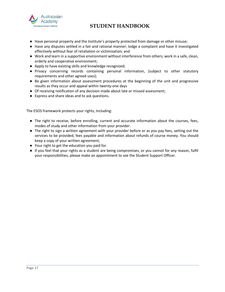

- Have personal property and the Institute's property protected from damage or other misuse;
- Have any disputes settled in a fair and rational manner; lodge a complaint and have it investigated effectively without fear of retaliation or victimization; and
- Work and learn in a supportive environment without interference from others; work in a safe, clean, orderly and cooperative environment;
- Apply to have existing skills and knowledge recognized;
- Privacy concerning records containing personal information, (subject to other statutory requirements and other agreed uses);
- Be given information about assessment procedures at the beginning of the unit and progressive results as they occur and appeal within twenty-one days
- Of receiving notification of any decision made about late or missed assessment;
- Express and share ideas and to ask questions.

The ESOS framework protects your rights, Including:

- The right to receive, before enrolling, current and accurate information about the courses, fees, modes of study and other information from your provider.
- The right to sign a written agreement with your provider before or as you pay fees, setting out the services to be provided, fees payable and information about refunds of course money. You should keep a copy of your written agreement;
- Your right to get the education you paid for.
- If you feel that your rights as a student are being compromises, or you cannot for any reason, fulfil your responsibilities, please make an appointment to see the Student Support Officer.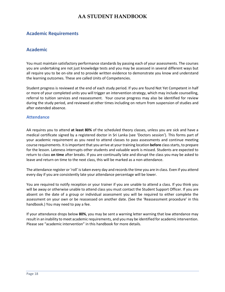### <span id="page-17-1"></span><span id="page-17-0"></span>**Academic Requirements**

### **Academic**

You must maintain satisfactory performance standards by passing each of your assessments. The courses you are undertaking are not just knowledge tests and you may be assessed in several different ways but all require you to be on-site and to provide written evidence to demonstrate you know and understand the learning outcomes. These are called Units of Competencies.

Student progress is reviewed at the end of each study period. If you are found Not Yet Competent in half or more of your completed units you will trigger an intervention strategy, which may include counselling, referral to tuition services and reassessment. Your course progress may also be identified for review during the study period, and reviewed at other times including on return from suspension of studies and after extended absence.

### <span id="page-17-2"></span>**Attendance**

AA requires you to attend **at least 80%** of the scheduled theory classes, unless you are sick and have a medical certificate signed by a registered doctor in Sri Lanka (see 'Doctors session'). This forms part of your academic requirement as you need to attend classes to pass assessments and continue meeting course requirements. It is important that you arrive at your training location **before** class starts, to prepare for the lesson. Lateness interrupts other students and valuable work is missed. Students are expected to return to class **on time** after breaks. If you are continually late and disrupt the class you may be asked to leave and return on time to the next class, this will be marked as a non-attendance.

The attendance register or 'roll' is taken every day and records the time you are in class. Even if you attend every day if you are consistently late your attendance percentage will be lower.

You are required to notify reception or your trainer if you are unable to attend a class. If you think you will be away or otherwise unable to attend class you must contact the Student Support Officer. If you are absent on the date of a group or individual assessment you will be required to either complete the assessment on your own or be reassessed on another date. (See the 'Reassessment procedure' in this handbook.) You may need to pay a fee.

If your attendance drops below **80%**, you may be sent a warning letter warning that low attendance may result in an inability to meet academic requirements, and you may be identified for academic intervention. Please see "academic intervention" in this handbook for more details.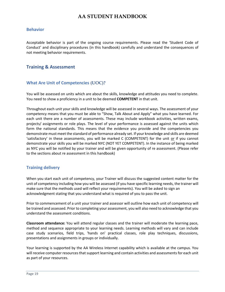### <span id="page-18-0"></span>**Behavior**

Acceptable behavior is part of the ongoing course requirements. Please read the 'Student Code of Conduct' and disciplinary procedures (in this handbook) carefully and understand the consequences of not meeting behavior requirements.

### <span id="page-18-2"></span><span id="page-18-1"></span>**Training & Assessment**

### **What Are Unit of Competencies (UOC)?**

You will be assessed on units which are about the skills, knowledge and attitudes you need to complete. You need to show a proficiency in a unit to be deemed **COMPETENT** in that unit.

Throughout each unit your skills and knowledge will be assessed in several ways. The assessment of your competency means that you must be able to "Show, Talk About and Apply" what you have learned. For each unit there are a number of assessments. These may include workbook activities, written exams, projects/ assignments or role plays. The level of your performance is assessed against the units which form the national standards. This means that the evidence you provide and the competencies you demonstrate must meet the standard of performance already set. If your knowledge and skills are deemed 'satisfactory' in these assessments, you will be marked C (COMPETENT) for the unit or if you cannot demonstrate your skills you will be marked NYC (NOT YET COMPETENT). In the instance of being marked as NYC you will be notified by your trainer and will be given opportunity of re assessment. (Please refer to the sections about re assessment in this handbook)

### <span id="page-18-3"></span>**Training delivery**

When you start each unit of competency, your Trainer will discuss the suggested content matter for the unit of competency including how you will be assessed (if you have specific learning needs, the trainer will make sure that the methods used will reflect your requirements). You will be asked to sign an acknowledgment stating that you understand what is required of you to pass the unit.

Prior to commencement of a unit your trainer and assessor will outline how each unit of competency will be trained and assessed. Prior to completing your assessment, you will also need to acknowledge that you understand the assessment conditions.

**Classroom attendance:** You will attend regular classes and the trainer will moderate the learning pace, method and sequence appropriate to your learning needs. Learning methods will vary and can include case study scenarios, field trips, 'hands on' practical classes, role play techniques, discussions, presentations and assignments in groups or individually.

Your learning is supported by the AA Wireless Internet capability which is available at the campus. You will receive computer resources that support learning and contain activities and assessments for each unit as part of your resources.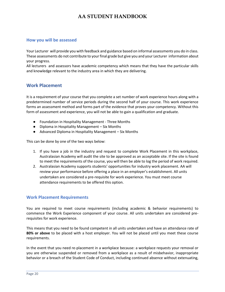### <span id="page-19-0"></span>**How you will be assessed**

Your Lecturer will provide you with feedback and guidance based on informal assessments you do in class. These assessments do not contribute to your final grade but give you and your Lecturer information about your progress.

All lecturers and assessors have academic competency which means that they have the particular skills and knowledge relevant to the industry area in which they are delivering.

### <span id="page-19-1"></span>**Work Placement**

It is a requirement of your course that you complete a set number of work experience hours along with a predetermined number of service periods during the second half of your course. This work experience forms an assessment method and forms part of the evidence that proves your competency. Without this form of assessment and experience, you will not be able to gain a qualification and graduate.

- Foundation in Hospitality Management Three Months
- Diploma in Hospitality Management Six Months
- Advanced Diploma in Hospitality Management Six Months

This can be done by one of the two ways below:

- 1. If you have a job in the industry and request to complete Work Placement in this workplace, Australasian Academy will audit the site to be approved as an acceptable site. If the site is found to meet the requirements of the course, you will then be able to log the period of work required.
- 2. Australasian Academy supports students' opportunities for industry work placement. AA will review your performance before offering a place in an employer's establishment. All units undertaken are considered a pre-requisite for work experience. You must meet course attendance requirements to be offered this option.

### <span id="page-19-2"></span>**Work Placement Requirements**

You are required to meet course requirements (including academic & behavior requirements) to commence the Work Experience component of your course. All units undertaken are considered prerequisites for work experience.

This means that you need to be found competent in all units undertaken and have an attendance rate of **80% or above** to be placed with a host employer. You will not be placed until you meet these course requirements.

In the event that you need re-placement in a workplace because: a workplace requests your removal or you are otherwise suspended or removed from a workplace as a result of misbehavior, inappropriate behavior or a breach of the Student Code of Conduct, including continued absence without extenuating,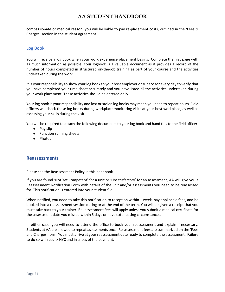compassionate or medical reason; you will be liable to pay re-placement costs, outlined in the 'Fees & Charges' section in the student agreement.

#### <span id="page-20-0"></span>**Log Book**

You will receive a log book when your work experience placement begins. Complete the first page with as much information as possible. Your logbook is a valuable document as it provides a record of the number of hours completed in structured on-the-job training as part of your course and the activities undertaken during the work.

It is your responsibility to show your log book to your host employer or supervisor every day to verify that you have completed your time sheet accurately and you have listed all the activities undertaken during your work placement. These activities should be entered daily.

Your log book is your responsibility and lost or stolen log books may mean you need to repeat hours. Field officers will check these log books during workplace monitoring visits at your host workplace, as well as assessing your skills during the visit.

You will be required to attach the following documents to your log book and hand this to the field officer:

- Pay slip
- Function running sheets
- Photos

### <span id="page-20-1"></span>**Reassessments**

Please see the Reassessment Policy in this handbook

If you are found 'Not Yet Competent' for a unit or 'Unsatisfactory' for an assessment, AA will give you a Reassessment Notification Form with details of the unit and/or assessments you need to be reassessed for. This notification is entered into your student file.

When notified, you need to take this notification to reception within 1 week, pay applicable fees, and be booked into a reassessment session during or at the end of the term. You will be given a receipt that you must take back to your trainer. Re -assessment fees will apply unless you submit a medical certificate for the assessment date you missed within 5 days or have extenuating circumstances.

In either case, you will need to attend the office to book your reassessment and explain if necessary. Students at AA are allowed to repeat assessments once. Re-assessment fees are summarized on the 'Fees and Charges' form. You must arrive at your reassessment date ready to complete the assessment. Failure to do so will result/ NYC and in a loss of the payment.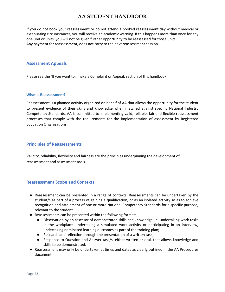If you do not book your reassessment or do not attend a booked reassessment day without medical or extenuating circumstances, you will receive an academic warning. If this happens more than once for any one unit or units, you will not be given further opportunity to be reassessed for those units. Any payment for reassessment, does not carry to the next reassessment session.

### <span id="page-21-0"></span>**Assessment Appeals**

Please see the 'If you want to…make a Complaint or Appeal, section of this handbook.

#### **What is Reassessment?**

Reassessment is a planned activity organized on behalf of AA that allows the opportunity for the student to present evidence of their skills and knowledge when matched against specific National Industry Competency Standards. AA is committed to implementing valid, reliable, fair and flexible reassessment processes that comply with the requirements for the implementation of assessment by Registered Education Organizations.

#### <span id="page-21-1"></span>**Principles of Reassessments**

Validity, reliability, flexibility and fairness are the principles underpinning the development of reassessment and assessment tools.

### <span id="page-21-2"></span>**Reassessment Scope and Contexts**

- Reassessment can be presented in a range of contexts. Reassessments can be undertaken by the student/s as part of a process of gaining a qualification, or as an isolated activity so as to achieve recognition and attainment of one or more National Competency Standards for a specific purpose, relevant to the student.
- Reassessments can be presented within the following formats:
	- Observation by an assessor of demonstrated skills and knowledge i.e. undertaking work tasks in the workplace, undertaking a simulated work activity or participating in an interview, undertaking nominated learning outcomes as part of the training plan;
	- Research and reflection through the presentation of a written task;
	- Response to Question and Answer task/s, either written or oral, that allows knowledge and skills to be demonstrated.
- Reassessment may only be undertaken at times and dates as clearly outlined in the AA Procedures document.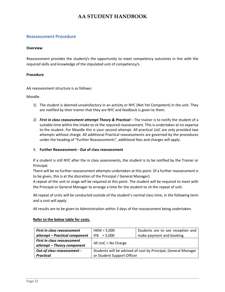#### <span id="page-22-0"></span>**Reassessment Procedure**

#### **Overview**

Reassessment provides the student/s the opportunity to meet competency outcomes in line with the required skills and knowledge of the stipulated unit of competency/s.

#### **Procedure**

AA reassessment structure is as follows:

#### Moodle

- 1) The student is deemed unsatisfactory in an activity or NYC (Not Yet Competent) in the unit. They are notified by their trainer that they are NYC and feedback is given to them.
- 2) *First in class reassessment attempt Theory & Practical* The trainer is to notify the student of a suitable time within the intake to sit the required reassessment. This is undertaken at no expense to the student. For Moodle this is your second attempt. All practical UoC are only provided two attempts without charge. All additional Practical reassessments are governed by the procedures under the heading of "Further Reassessments", additional fees and charges will apply.

#### 3. **Further Reassessment - Out of class reassessment**

If a student is still NYC after the in class assessments, the student is to be notified by the Trainer or Principal.

There will be no further reassessment attempts undertaken at this point. (If a further reassessment is to be given, this is at the discretion of the Principal / General Manager).

A repeat of the unit or stage will be required at this point. The student will be required to meet with the Principal or General Manager to arrange a time for the student to sit the repeat of unit.

All repeat of units will be conducted outside of the student's normal class time, in the following term and a cost will apply.

All results are to be given to Administration within 3 days of the reassessment being undertaken.

#### **Refer to the below table for costs.**

| First in class reassessment   | $HKM = 5,000$                                                  | Students are to see reception and |
|-------------------------------|----------------------------------------------------------------|-----------------------------------|
| attempt - Practical component | $IFB = 5,000$                                                  | make payment and booking.         |
| First in class reassessment   | All $UoC = No Charge$                                          |                                   |
| attempt - Theory component    |                                                                |                                   |
| Out of class reassessment -   | Students will be advised of cost by Principal, General Manager |                                   |
| <b>Practical</b>              | or Student Support Officer                                     |                                   |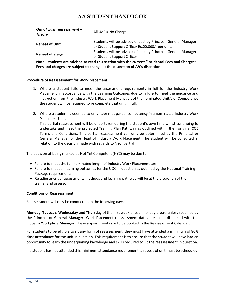| Out of class reassessment -<br><b>Theory</b>                                                                                                                                   | All $UoC = No Charge$                                                                                              |
|--------------------------------------------------------------------------------------------------------------------------------------------------------------------------------|--------------------------------------------------------------------------------------------------------------------|
| <b>Repeat of Unit</b>                                                                                                                                                          | Students will be advised of cost by Principal, General Manager<br>or Student Support Officer Rs.20,000/- per unit. |
| <b>Repeat of Stage</b>                                                                                                                                                         | Students will be advised of cost by Principal, General Manager<br>or Student Support Officer                       |
| Note: students are advised to read this section with the current "Incidental Fees and Charges"<br>Fees and charges are subject to change at the discretion of AA's discretion. |                                                                                                                    |

#### **Procedure of Reassessment for Work placement**

- 1. Where a student fails to meet the assessment requirements in full for the Industry Work Placement in accordance with the Learning Outcomes due to failure to meet the guidance and instruction from the Industry Work Placement Manager, of the nominated Unit/s of Competence the student will be required to re complete that unit in full.
- 2. Where a student is deemed to only have met partial competency in a nominated Industry Work Placement Unit.

This partial reassessment will be undertaken during the student's own time whilst continuing to undertake and meet the projected Training Plan Pathway as outlined within their original COE Terms and Conditions. This partial reassessment can only be determined by the Principal or General Manager or the Head of Industry Work Placement. The student will be consulted in relation to the decision made with regards to NYC (partial).

The decision of being marked as Not Yet Competent (NYC) may be due to:-

- Failure to meet the full nominated length of Industry Work Placement term;
- Failure to meet all learning outcomes for the UOC in question as outlined by the National Training Package requirements;
- Re adjustment of assessments methods and learning pathway will be at the discretion of the trainer and assessor.

#### **Conditions of Reassessment**

Reassessment will only be conducted on the following days:-

**Monday, Tuesday, Wednesday and Thursday** of the first week of each holiday break, unless specified by the Principal or General Manager. Work Placement reassessment dates are to be discussed with the Industry Workplace Manager. These appointments are to be booked in the Reassessment Calendar.

For students to be eligible to sit any form of reassessment, they must have attended a minimum of 80% class attendance for the unit in question. This requirement is to ensure that the student will have had an opportunity to learn the underpinning knowledge and skills required to sit the reassessment in question.

If a student has not attended this minimum attendance requirement, a repeat of unit must be scheduled.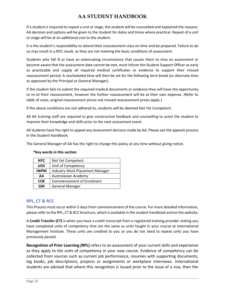If a student is required to repeat a unit or stage, the student will be counselled and explained the reasons. AA decision and options will be given to the student for dates and times where practical. Repeat of a unit or stage will be at an additional cost to the student.

It is the student's responsibility to attend their reassessment class on time and be prepared. Failure to do so may result in a NYC result, as they are not meeting the basic conditions of assessment.

Students who fall ill or have an extenuating circumstance that causes them to miss an assessment or become aware that the assessment date cannot be met, must inform the Student Support Officer as early as practicable and supply all required medical certificates or evidence to support their missed reassessment period. A rescheduled time will then be set for the following term break (or alternate time as approved by the Principal or General Manager).

If the student fails to submit the required medical documents or evidence they will have the opportunity to re-sit their reassessment, however the further reassessment will be at their own expense. (Refer to table of costs, original reassessment prices-not missed reassessment prices apply.)

If the above conditions are not adhered to, students will be deemed Not Yet Competent.

All AA training staff are required to give constructive feedback and counselling to assist the student to improve their knowledge and skills prior to the next assessment event.

All students have the right to appeal any assessment decision made by AA. Please see the appeals process in the Student Handbook.

The General Manager of AA has the right to change this policy at any time without giving notice.

| <b>NYC</b>  | Not Yet Competent                      |
|-------------|----------------------------------------|
| <b>UOC</b>  | Unit of Competency                     |
| <b>IWPM</b> | <b>Industry Work Placement Manager</b> |
| AΑ          | Australasian Academy                   |
| <b>COE</b>  | <b>Commencement of Enrolment</b>       |
| GM          | <b>General Manager</b>                 |

### **\*Key words in this section**

### <span id="page-24-0"></span>**RPL, CT & RCC**

This Process must occur within 5 days from commencement of the course. For more detailed information, please refer to the RPL, CT & RCC brochure, which is available in the student handbook and on the website.

A **Credit Transfer (CT)** is when you have a credit transcript from a registered training provider stating you have completed units of competency that are the same as units taught in your course at International Management Institute. These units are credited to you so you do not need to repeat units you have previously passed.

**Recognition of Prior Learning (RPL)** refers to an assessment of your current skills and experience as they apply to the units of competency in your new course. Evidence of competency can be collected from sources such as current job performance, resumes with supporting documents, log books, job descriptions, projects or assignments or workplace interviews. International students are advised that where this recognition is issued prior to the issue of a visa, then the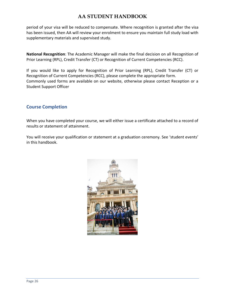period of your visa will be reduced to compensate. Where recognition is granted after the visa has been issued, then AA will review your enrolment to ensure you maintain full study load with supplementary materials and supervised study.

**National Recognition**: The Academic Manager will make the final decision on all Recognition of Prior Learning (RPL), Credit Transfer (CT) or Recognition of Current Competencies (RCC).

If you would like to apply for Recognition of Prior Learning (RPL), Credit Transfer (CT) or Recognition of Current Competencies (RCC), please complete the appropriate form. Commonly used forms are available on our website, otherwise please contact Reception or a Student Support Officer

### <span id="page-25-0"></span>**Course Completion**

When you have completed your course, we will either issue a certificate attached to a record of results or statement of attainment.

You will receive your qualification or statement at a graduation ceremony. See 'student events' in this handbook.

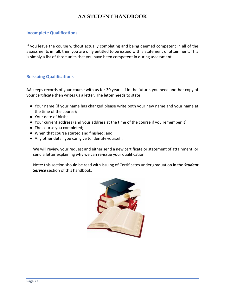### <span id="page-26-0"></span>**Incomplete Qualifications**

If you leave the course without actually completing and being deemed competent in all of the assessments in full, then you are only entitled to be issued with a statement of attainment. This is simply a list of those units that you have been competent in during assessment.

### <span id="page-26-1"></span>**Reissuing Qualifications**

AA keeps records of your course with us for 30 years. If in the future, you need another copy of your certificate then writes us a letter. The letter needs to state:

- Your name (if your name has changed please write both your new name and your name at the time of the course);
- Your date of birth;
- Your current address (and your address at the time of the course if you remember it);
- The course you completed;
- When that course started and finished; and
- Any other detail you can give to identify yourself.

We will review your request and either send a new certificate or statement of attainment; or send a letter explaining why we can re-issue your qualification

Note: this section should be read with Issuing of Certificates under graduation in the *Student Service* section of this handbook.

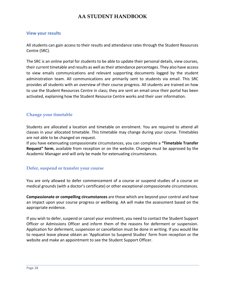### <span id="page-27-0"></span>**View your results**

All students can gain access to their results and attendance rates through the Student Resources Centre (SRC).

The SRC is an online portal for students to be able to update their personal details, view courses, their current timetable and results as well as their attendance percentages. They also have access to view emails communications and relevant supporting documents logged by the student administration team. All communications are primarily sent to students via email. This SRC provides all students with an overview of their course progress. All students are trained on how to use the Student Resources Centre in class; they are sent an email once their portal has been activated, explaining how the Student Resource Centre works and their user information.

### <span id="page-27-1"></span>**Change your timetable**

Students are allocated a location and timetable on enrolment. You are required to attend all classes in your allocated timetable. This timetable may change during your course. Timetables are not able to be changed on request.

If you have extenuating compassionate circumstances, you can complete a **"Timetable Transfer Request" form**, available from reception or on the website. Changes must be approved by the Academic Manager and will only be made for extenuating circumstances.

### <span id="page-27-2"></span>**Defer, suspend or transfer your course**

You are only allowed to defer commencement of a course or suspend studies of a course on medical grounds (with a doctor's certificate) or other exceptional compassionate circumstances.

**Compassionate or compelling circumstances** are those which are beyond your control and have an impact upon your course progress or wellbeing. AA will make the assessment based on the appropriate evidence.

If you wish to defer, suspend or cancel your enrolment, you need to contact the Student Support Officer or Admissions Officer and inform them of the reasons for deferment or suspension. Application for deferment, suspension or cancellation must be done in writing. If you would like to request leave please obtain an 'Application to Suspend Studies' form from reception or the website and make an appointment to see the Student Support Officer.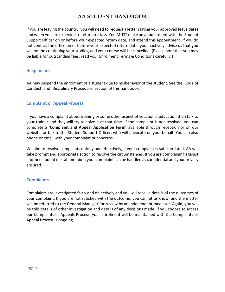If you are leaving the country, you will need to request a letter stating your approved leave dates and when you are expected to return to class. You MUST make an appointment with the Student Support Officer on or before your expected return date, and attend this appointment. If you do not contact the office on or before your expected return date, you inactively advise us that you will not be continuing your studies, and your course will be cancelled. (Please note that you may be liable for outstanding fees, read your Enrolment Terms & Conditions carefully.)

### **Suspension**

AA may suspend the enrolment of a student due to misbehavior of the student. See the 'Code of Conduct' and 'Disciplinary Procedure' section of this handbook.

### <span id="page-28-0"></span>**Complaint or Appeal Process**

If you have a complaint about training or some other aspect of vocational education then talk to your trainer and they will try to solve it at that time. If the complaint is not resolved, you can complete a **'Complaint and Appeal Application Form'** available through reception or on our website, or talk to the Student Support Officer, who will advocate on your behalf. You can also phone or email with your complaint or concerns.

We aim to resolve complaints quickly and effectively, if your complaint is substantiated, AA will take prompt and appropriate action to resolve the circumstances. If you are complaining against another student or staff member, your complaint can be handled as confidential and your privacy ensured.

### <span id="page-28-1"></span>**Complaints**

Complaints are investigated fairly and objectively and you will receive details of the outcomes of your complaint. If you are not satisfied with the outcome, you can let us know, and the matter will be referred to the General Manager for review by an independent mediator. Again, you will be told details of other investigation and details of any decisions made. If you choose to access our Complaints or Appeals Process, your enrolment will be maintained with the Complaints or Appeal Process is ongoing.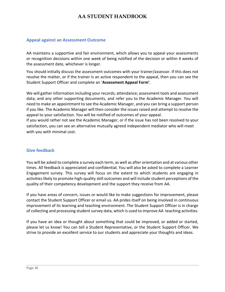### <span id="page-29-0"></span>**Appeal against an Assessment Outcome**

AA maintains a supportive and fair environment, which allows you to appeal your assessments or recognition decisions within one week of being notified of the decision or within 4 weeks of the assessment date, whichever is longer.

You should initially discuss the assessment outcomes with your trainer/assessor. If this does not resolve the matter, or if the trainer is an active respondent to the appeal, then you can see the Student Support Officer and complete an '**Assessment Appeal Form'**.

We will gather information including your records; attendance; assessment tools and assessment data; and any other supporting documents, and refer you to the Academic Manager. You will need to make an appointment to see the Academic Manager, and you can bring a support person if you like. The Academic Manager will then consider the issues raised and attempt to resolve the appeal to your satisfaction. You will be notified of outcomes of your appeal.

If you would rather not see the Academic Manager, or if the issue has not been resolved to your satisfaction, you can see an alternative mutually agreed independent mediator who will meet with you with minimal cost.

### <span id="page-29-1"></span>**Give feedback**

You will be asked to complete a survey each term, as well as after orientation and at various other times. All feedback is appreciated and confidential. You will also be asked to complete a Learner Engagement survey. This survey will focus on the extent to which students are engaging in activities likely to promote high-quality skill outcomes and will include student perceptions of the quality of their competency development and the support they receive from AA.

If you have areas of concern, issues or would like to make suggestions for improvement, please contact the Student Support Officer or email us. AA prides itself on being involved in continuous improvement of its learning and teaching environment. The Student Support Officer is in charge of collecting and processing student survey data, which is used to improve AA teaching activities.

If you have an idea or thought about something that could be improved, or added or started, please let us know! You can tell a Student Representative, or the Student Support Officer. We strive to provide an excellent service to our students and appreciate your thoughts and ideas.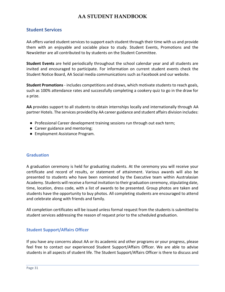### <span id="page-30-0"></span>**Student Services**

AA offers varied student services to support each student through their time with us and provide them with an enjoyable and sociable place to study. Student Events, Promotions and the Newsletter are all contributed to by students on the Student Committee.

**Student Events** are held periodically throughout the school calendar year and all students are invited and encouraged to participate. For information on current student events check the Student Notice Board, AA Social media communications such as Facebook and our website.

**Student Promotions** - includes competitions and draws, which motivate students to reach goals, such as 100% attendance rates and successfully completing a cookery quiz to go in the draw for a prize.

**AA** provides support to all students to obtain internships locally and internationally through AA partner Hotels. The services provided by AA career guidance and student affairs division includes:

- Professional Career development training sessions run through out each term;
- Career guidance and mentoring;
- Employment Assistance Program.

### <span id="page-30-1"></span>**Graduation**

A graduation ceremony is held for graduating students. At the ceremony you will receive your certificate and record of results, or statement of attainment. Various awards will also be presented to students who have been nominated by the Executive team within Australasian Academy. Students will receive a formal invitation to their graduation ceremony, stipulating date, time, location, dress code, with a list of awards to be presented. Group photos are taken and students have the opportunity to buy photos. All completing students are encouraged to attend and celebrate along with friends and family.

All completion certificates will be issued unless formal request from the students is submitted to student services addressing the reason of request prior to the scheduled graduation.

### <span id="page-30-2"></span>**Student Support/Affairs Officer**

If you have any concerns about AA or its academic and other programs or your progress, please feel free to contact our experienced Student Support/Affairs Officer. We are able to advise students in all aspects of student life. The Student Support/Affairs Officer is there to discuss and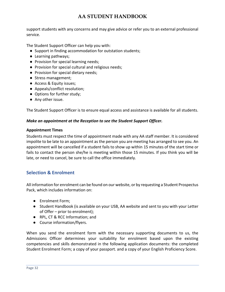support students with any concerns and may give advice or refer you to an external professional service.

The Student Support Officer can help you with:

- Support in finding accommodation for outstation students;
- Learning pathways;
- Provision for special learning needs;
- Provision for special cultural and religious needs;
- Provision for special dietary needs;
- Stress management;
- Access & Equity issues;
- Appeals/conflict resolution;
- Options for further study;
- Any other issue.

The Student Support Officer is to ensure equal access and assistance is available for all students.

#### *Make an appointment at the Reception to see the Student Support Officer.*

#### **Appointment Times**

Students must respect the time of appointment made with any AA staff member. It is considered impolite to be late to an appointment as the person you are meeting has arranged to see you. An appointment will be cancelled if a student fails to show up within 15 minutes of the start time or fails to contact the person she/he is meeting within those 15 minutes. If you think you will be late, or need to cancel, be sure to call the office immediately.

### <span id="page-31-0"></span>**Selection & Enrolment**

All information for enrolment can be found on our website, or by requesting a Student Prospectus Pack, which includes information on:

- Enrolment Form;
- Student Handbook (is available on your USB, AA website and sent to you with your Letter of Offer – prior to enrolment);
- RPL, CT & RCC Information; and
- Course information/flyers.

When you send the enrolment form with the necessary supporting documents to us, the Admissions Officer determines your suitability for enrolment based upon the existing competencies and skills demonstrated in the following application documents: the completed Student Enrolment Form; a copy of your passport. and a copy of your English Proficiency Score.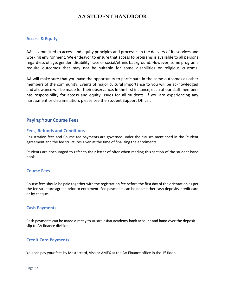### <span id="page-32-0"></span>**Access & Equity**

AA is committed to access and equity principles and processes in the delivery of its services and working environment. We endeavor to ensure that access to programs is available to all persons regardless of age, gender, disability, race or social/ethnic background. However, some programs require outcomes that may not be suitable for some disabilities or religious customs.

AA will make sure that you have the opportunity to participate in the same outcomes as other members of the community. Events of major cultural importance to you will be acknowledged and allowance will be made for their observance. In the first instance, each of our staff members has responsibility for access and equity issues for all students. If you are experiencing any harassment or discrimination, please see the Student Support Officer.

### <span id="page-32-1"></span>**Paying Your Course Fees**

### <span id="page-32-2"></span>**Fees, Refunds and Conditions**

Registration fees and Course fee payments are governed under the clauses mentioned in the Student agreement and the fee structures given at the time of finalizing the enrolments.

Students are encouraged to refer to their letter of offer when reading this section of the student hand book.

### <span id="page-32-3"></span>**Course Fees**

Course fees should be paid together with the registration fee before the first day of the orientation as per the fee structure agreed prior to enrolment. Fee payments can be done either cash deposits, credit card or by cheque.

### <span id="page-32-4"></span>**Cash Payments**

Cash payments can be made directly to Australasian Academy bank account and hand over the deposit slip to AA finance division.

### <span id="page-32-5"></span>**Credit Card Payments**

You can pay your fees by Mastercard, Visa or AMEX at the AA Finance office in the  $1<sup>st</sup>$  floor.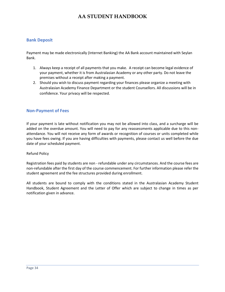### <span id="page-33-0"></span>**Bank Deposit**

Payment may be made electronically (Internet Banking) the AA Bank account maintained with Seylan Bank.

- 1. Always keep a receipt of all payments that you make. A receipt can become legal evidence of your payment, whether it is from Australasian Academy or any other party. Do not leave the premises without a receipt after making a payment.
- 2. Should you wish to discuss payment regarding your finances please organize a meeting with Australasian Academy Finance Department or the student Counsellors. All discussions will be in confidence. Your privacy will be respected.

### <span id="page-33-1"></span>**Non-Payment of Fees**

If your payment is late without notification you may not be allowed into class, and a surcharge will be added on the overdue amount. You will need to pay for any reassessments applicable due to this nonattendance. You will not receive any form of awards or recognition of courses or units completed while you have fees owing. If you are having difficulties with payments, please contact us well before the due date of your scheduled payment.

#### Refund Policy

Registration fees paid by students are non - refundable under any circumstances. And the course fees are non-refundable after the first day of the course commencement. For further information please refer the student agreement and the fee structures provided during enrollment.

All students are bound to comply with the conditions stated in the Australasian Academy Student Handbook, Student Agreement and the Letter of Offer which are subject to change in times as per notification given in advance.